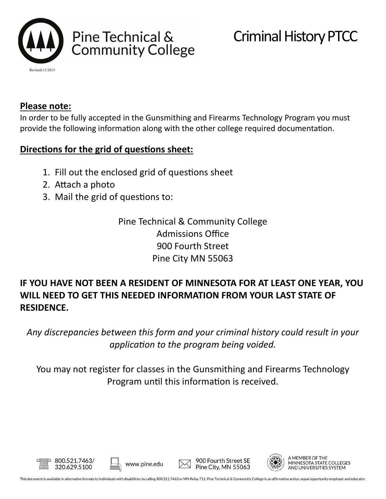

## **Please note:**

In order to be fully accepted in the Gunsmithing and Firearms Technology Program you must provide the following information along with the other college required documentation.

## **Directions for the grid of questions sheet:**

- 1. Fill out the enclosed grid of questions sheet
- 2. Attach a photo

800.521.7463/

320.629.5100

3. Mail the grid of questions to:

Pine Technical & Community College Admissions Office 900 Fourth Street Pine City MN 55063

## **IF YOU HAVE NOT BEEN A RESIDENT OF MINNESOTA FOR AT LEAST ONE YEAR, YOU WILL NEED TO GET THIS NEEDED INFORMATION FROM YOUR LAST STATE OF RESIDENCE.**

*Any discrepancies between this form and your criminal history could result in your application to the program being voided.*

You may not register for classes in the Gunsmithing and Firearms Technology Program until this information is received.



A MEMBER OF THE MINNESOTA STATE COLLEGES AND UNIVERSITIES SYSTEM

www.pine.edu

900 Fourth Street SE

Pine City, MN 55063